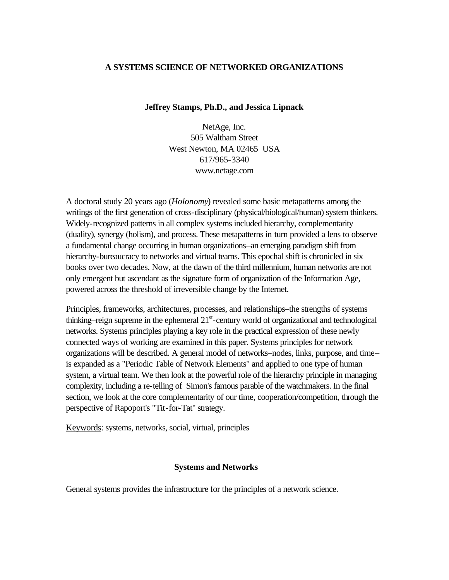#### **A SYSTEMS SCIENCE OF NETWORKED ORGANIZATIONS**

**Jeffrey Stamps, Ph.D., and Jessica Lipnack**

NetAge, Inc. 505 Waltham Street West Newton, MA 02465 USA 617/965-3340 www.netage.com

A doctoral study 20 years ago (*Holonomy*) revealed some basic metapatterns among the writings of the first generation of cross-disciplinary (physical/biological/human) system thinkers. Widely-recognized patterns in all complex systems included hierarchy, complementarity (duality), synergy (holism), and process. These metapatterns in turn provided a lens to observe a fundamental change occurring in human organizations–an emerging paradigm shift from hierarchy-bureaucracy to networks and virtual teams. This epochal shift is chronicled in six books over two decades. Now, at the dawn of the third millennium, human networks are not only emergent but ascendant as the signature form of organization of the Information Age, powered across the threshold of irreversible change by the Internet.

Principles, frameworks, architectures, processes, and relationships–the strengths of systems thinking–reign supreme in the ephemeral 21<sup>st</sup>-century world of organizational and technological networks. Systems principles playing a key role in the practical expression of these newly connected ways of working are examined in this paper. Systems principles for network organizations will be described. A general model of networks–nodes, links, purpose, and time– is expanded as a "Periodic Table of Network Elements" and applied to one type of human system, a virtual team. We then look at the powerful role of the hierarchy principle in managing complexity, including a re-telling of Simon's famous parable of the watchmakers. In the final section, we look at the core complementarity of our time, cooperation/competition, through the perspective of Rapoport's "Tit-for-Tat" strategy.

Keywords: systems, networks, social, virtual, principles

#### **Systems and Networks**

General systems provides the infrastructure for the principles of a network science.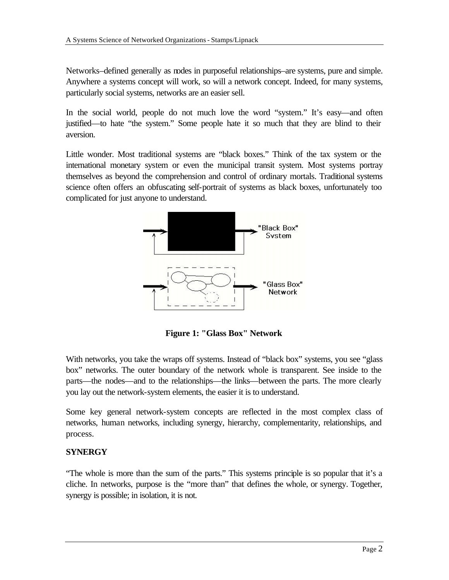Networks–defined generally as nodes in purposeful relationships–are systems, pure and simple. Anywhere a systems concept will work, so will a network concept. Indeed, for many systems, particularly social systems, networks are an easier sell.

In the social world, people do not much love the word "system." It's easy—and often justified—to hate "the system." Some people hate it so much that they are blind to their aversion.

Little wonder. Most traditional systems are "black boxes." Think of the tax system or the international monetary system or even the municipal transit system. Most systems portray themselves as beyond the comprehension and control of ordinary mortals. Traditional systems science often offers an obfuscating self-portrait of systems as black boxes, unfortunately too complicated for just anyone to understand.



**Figure 1: "Glass Box" Network**

With networks, you take the wraps off systems. Instead of "black box" systems, you see "glass" box" networks. The outer boundary of the network whole is transparent. See inside to the parts—the nodes—and to the relationships—the links—between the parts. The more clearly you lay out the network-system elements, the easier it is to understand.

Some key general network-system concepts are reflected in the most complex class of networks, human networks, including synergy, hierarchy, complementarity, relationships, and process.

# **SYNERGY**

"The whole is more than the sum of the parts." This systems principle is so popular that it's a cliche. In networks, purpose is the "more than" that defines the whole, or synergy. Together, synergy is possible; in isolation, it is not.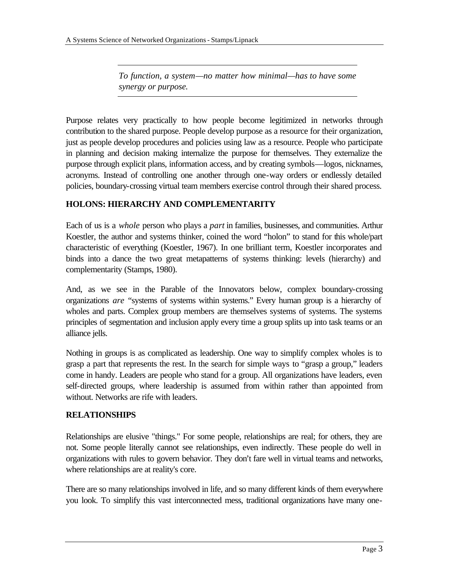*To function, a system—no matter how minimal—has to have some synergy or purpose.*

Purpose relates very practically to how people become legitimized in networks through contribution to the shared purpose. People develop purpose as a resource for their organization, just as people develop procedures and policies using law as a resource. People who participate in planning and decision making internalize the purpose for themselves. They externalize the purpose through explicit plans, information access, and by creating symbols—logos, nicknames, acronyms. Instead of controlling one another through one-way orders or endlessly detailed policies, boundary-crossing virtual team members exercise control through their shared process.

# **HOLONS: HIERARCHY AND COMPLEMENTARITY**

Each of us is a *whole* person who plays a *part* in families, businesses, and communities. Arthur Koestler, the author and systems thinker, coined the word "holon" to stand for this whole/part characteristic of everything (Koestler, 1967). In one brilliant term, Koestler incorporates and binds into a dance the two great metapatterns of systems thinking: levels (hierarchy) and complementarity (Stamps, 1980).

And, as we see in the Parable of the Innovators below, complex boundary-crossing organizations *are* "systems of systems within systems." Every human group is a hierarchy of wholes and parts. Complex group members are themselves systems of systems. The systems principles of segmentation and inclusion apply every time a group splits up into task teams or an alliance jells.

Nothing in groups is as complicated as leadership. One way to simplify complex wholes is to grasp a part that represents the rest. In the search for simple ways to "grasp a group," leaders come in handy. Leaders are people who stand for a group. All organizations have leaders, even self-directed groups, where leadership is assumed from within rather than appointed from without. Networks are rife with leaders.

### **RELATIONSHIPS**

Relationships are elusive "things." For some people, relationships are real; for others, they are not. Some people literally cannot see relationships, even indirectly. These people do well in organizations with rules to govern behavior. They don't fare well in virtual teams and networks, where relationships are at reality's core.

There are so many relationships involved in life, and so many different kinds of them everywhere you look. To simplify this vast interconnected mess, traditional organizations have many one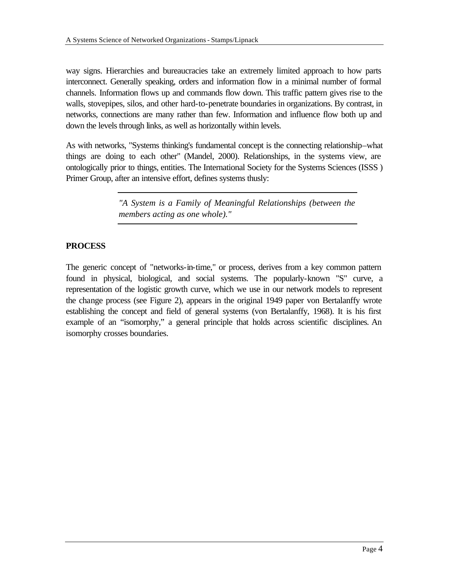way signs. Hierarchies and bureaucracies take an extremely limited approach to how parts interconnect. Generally speaking, orders and information flow in a minimal number of formal channels. Information flows up and commands flow down. This traffic pattern gives rise to the walls, stovepipes, silos, and other hard-to-penetrate boundaries in organizations. By contrast, in networks, connections are many rather than few. Information and influence flow both up and down the levels through links, as well as horizontally within levels.

As with networks, "Systems thinking's fundamental concept is the connecting relationship–what things are doing to each other" (Mandel, 2000). Relationships, in the systems view, are ontologically prior to things, entities. The International Society for the Systems Sciences (ISSS ) Primer Group, after an intensive effort, defines systems thusly:

> *"A System is a Family of Meaningful Relationships (between the members acting as one whole)."*

# **PROCESS**

The generic concept of "networks-in-time," or process, derives from a key common pattern found in physical, biological, and social systems. The popularly-known "S" curve, a representation of the logistic growth curve, which we use in our network models to represent the change process (see Figure 2), appears in the original 1949 paper von Bertalanffy wrote establishing the concept and field of general systems (von Bertalanffy, 1968). It is his first example of an "isomorphy," a general principle that holds across scientific disciplines. An isomorphy crosses boundaries.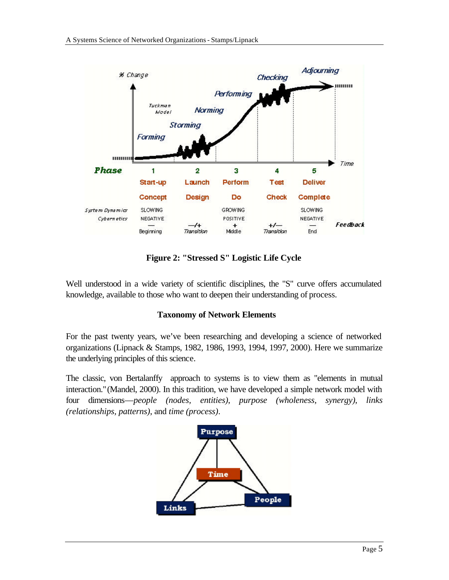

**Figure 2: "Stressed S" Logistic Life Cycle**

Well understood in a wide variety of scientific disciplines, the "S" curve offers accumulated knowledge, available to those who want to deepen their understanding of process.

### **Taxonomy of Network Elements**

For the past twenty years, we've been researching and developing a science of networked organizations (Lipnack & Stamps, 1982, 1986, 1993, 1994, 1997, 2000). Here we summarize the underlying principles of this science.

The classic, von Bertalanffy approach to systems is to view them as "elements in mutual interaction."(Mandel, 2000). In this tradition, we have developed a simple network model with four dimensions—*people (nodes, entities)*, *purpose (wholeness, synergy)*, *links (relationships, patterns)*, and *time (process)*.

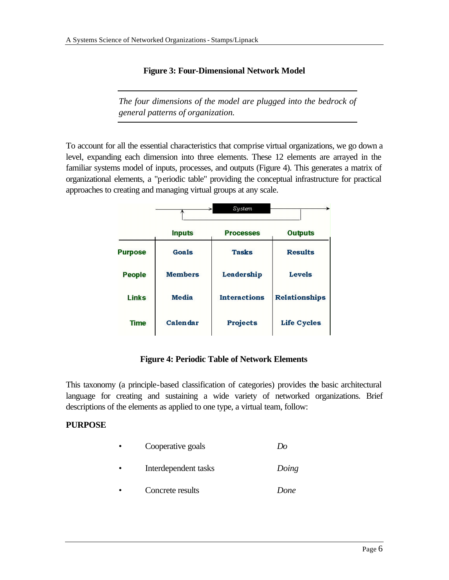### **Figure 3: Four-Dimensional Network Model**

*The four dimensions of the model are plugged into the bedrock of general patterns of organization.*

To account for all the essential characteristics that comprise virtual organizations, we go down a level, expanding each dimension into three elements. These 12 elements are arrayed in the familiar systems model of inputs, processes, and outputs (Figure 4). This generates a matrix of organizational elements, a "periodic table" providing the conceptual infrastructure for practical approaches to creating and managing virtual groups at any scale.

|                |                | System              |                      |  |
|----------------|----------------|---------------------|----------------------|--|
|                | <b>Inputs</b>  | <b>Processes</b>    | <b>Outputs</b>       |  |
| <b>Purpose</b> | Goals          | <b>Tasks</b>        | <b>Results</b>       |  |
| People         | <b>Members</b> | Leadership          | <b>Levels</b>        |  |
| Links          | <b>Media</b>   | <b>Interactions</b> | <b>Relationships</b> |  |
| <b>Time</b>    | Calendar       | <b>Projects</b>     | <b>Life Cycles</b>   |  |

### **Figure 4: Periodic Table of Network Elements**

This taxonomy (a principle-based classification of categories) provides the basic architectural language for creating and sustaining a wide variety of networked organizations. Brief descriptions of the elements as applied to one type, a virtual team, follow:

### **PURPOSE**

| $\bullet$ | Cooperative goals    | Do    |
|-----------|----------------------|-------|
| $\bullet$ | Interdependent tasks | Doing |
| $\bullet$ | Concrete results     | Done  |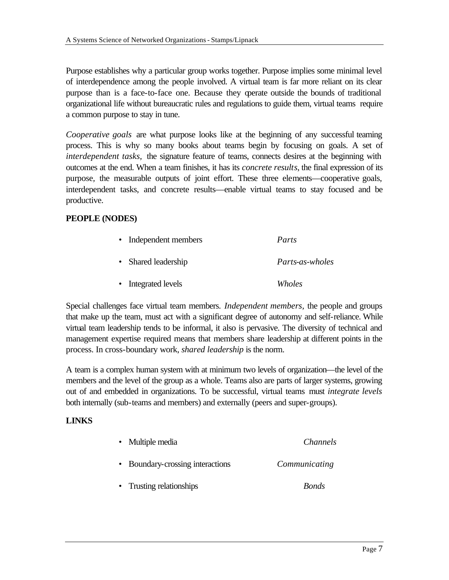Purpose establishes why a particular group works together. Purpose implies some minimal level of interdependence among the people involved. A virtual team is far more reliant on its clear purpose than is a face-to-face one. Because they operate outside the bounds of traditional organizational life without bureaucratic rules and regulations to guide them, virtual teams require a common purpose to stay in tune.

*Cooperative goals* are what purpose looks like at the beginning of any successful teaming process. This is why so many books about teams begin by focusing on goals. A set of *interdependent tasks*, the signature feature of teams, connects desires at the beginning with outcomes at the end. When a team finishes, it has its *concrete results*, the final expression of its purpose*,* the measurable outputs of joint effort. These three elements—cooperative goals, interdependent tasks, and concrete results—enable virtual teams to stay focused and be productive.

#### **PEOPLE (NODES)**

| • Independent members | Parts           |
|-----------------------|-----------------|
| • Shared leadership   | Parts-as-wholes |
| • Integrated levels   | Wholes          |

Special challenges face virtual team members. *Independent members,* the people and groups that make up the team, must act with a significant degree of autonomy and self-reliance. While virtual team leadership tends to be informal, it also is pervasive. The diversity of technical and management expertise required means that members share leadership at different points in the process. In cross-boundary work, *shared leadership* is the norm.

A team is a complex human system with at minimum two levels of organization—the level of the members and the level of the group as a whole. Teams also are parts of larger systems, growing out of and embedded in organizations. To be successful, virtual teams must *integrate levels*  both internally (sub-teams and members) and externally (peers and super-groups).

### **LINKS**

| • Multiple media                 | <i>Channels</i> |
|----------------------------------|-----------------|
| • Boundary-crossing interactions | Communicating   |
| • Trusting relationships         | <i>Bonds</i>    |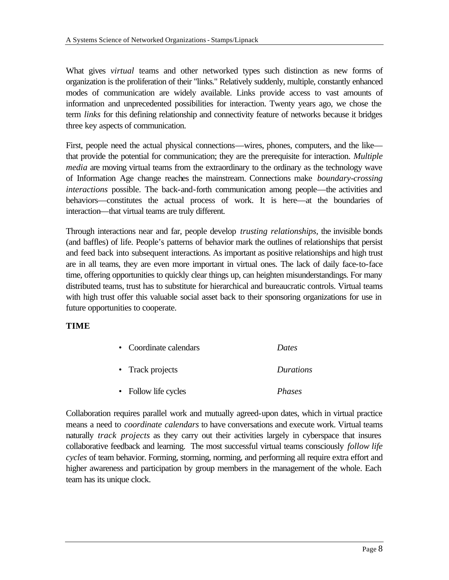What gives *virtual* teams and other networked types such distinction as new forms of organization is the proliferation of their "links." Relatively suddenly, multiple, constantly enhanced modes of communication are widely available. Links provide access to vast amounts of information and unprecedented possibilities for interaction. Twenty years ago, we chose the term *links* for this defining relationship and connectivity feature of networks because it bridges three key aspects of communication.

First, people need the actual physical connections—wires, phones, computers, and the like that provide the potential for communication; they are the prerequisite for interaction. *Multiple media* are moving virtual teams from the extraordinary to the ordinary as the technology wave of Information Age change reaches the mainstream. Connections make *boundary-crossing interactions* possible. The back-and-forth communication among people—the activities and behaviors—constitutes the actual process of work. It is here—at the boundaries of interaction—that virtual teams are truly different.

Through interactions near and far, people develop *trusting relationships,* the invisible bonds (and baffles) of life. People's patterns of behavior mark the outlines of relationships that persist and feed back into subsequent interactions. As important as positive relationships and high trust are in all teams, they are even more important in virtual ones. The lack of daily face-to-face time, offering opportunities to quickly clear things up, can heighten misunderstandings. For many distributed teams, trust has to substitute for hierarchical and bureaucratic controls. Virtual teams with high trust offer this valuable social asset back to their sponsoring organizations for use in future opportunities to cooperate.

# **TIME**

| • Coordinate calendars | Dates            |
|------------------------|------------------|
| • Track projects       | <i>Durations</i> |
| • Follow life cycles   | <b>Phases</b>    |

Collaboration requires parallel work and mutually agreed-upon dates, which in virtual practice means a need to *coordinate calendars* to have conversations and execute work. Virtual teams naturally *track projects* as they carry out their activities largely in cyberspace that insures collaborative feedback and learning. The most successful virtual teams consciously *follow life cycles* of team behavior. Forming, storming, norming, and performing all require extra effort and higher awareness and participation by group members in the management of the whole. Each team has its unique clock.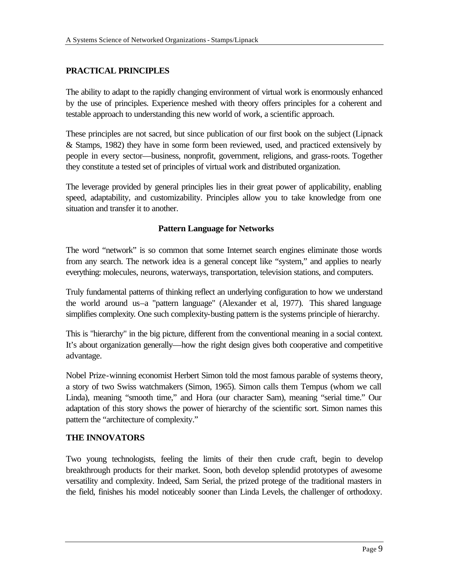# **PRACTICAL PRINCIPLES**

The ability to adapt to the rapidly changing environment of virtual work is enormously enhanced by the use of principles. Experience meshed with theory offers principles for a coherent and testable approach to understanding this new world of work, a scientific approach.

These principles are not sacred, but since publication of our first book on the subject (Lipnack & Stamps, 1982) they have in some form been reviewed, used, and practiced extensively by people in every sector—business, nonprofit, government, religions, and grass-roots. Together they constitute a tested set of principles of virtual work and distributed organization.

The leverage provided by general principles lies in their great power of applicability, enabling speed, adaptability, and customizability. Principles allow you to take knowledge from one situation and transfer it to another.

### **Pattern Language for Networks**

The word "network" is so common that some Internet search engines eliminate those words from any search. The network idea is a general concept like "system," and applies to nearly everything: molecules, neurons, waterways, transportation, television stations, and computers.

Truly fundamental patterns of thinking reflect an underlying configuration to how we understand the world around us–a "pattern language" (Alexander et al, 1977). This shared language simplifies complexity. One such complexity-busting pattern is the systems principle of hierarchy.

This is "hierarchy" in the big picture, different from the conventional meaning in a social context. It's about organization generally—how the right design gives both cooperative and competitive advantage.

Nobel Prize-winning economist Herbert Simon told the most famous parable of systems theory, a story of two Swiss watchmakers (Simon, 1965). Simon calls them Tempus (whom we call Linda), meaning "smooth time," and Hora (our character Sam), meaning "serial time." Our adaptation of this story shows the power of hierarchy of the scientific sort. Simon names this pattern the "architecture of complexity."

### **THE INNOVATORS**

Two young technologists, feeling the limits of their then crude craft, begin to develop breakthrough products for their market. Soon, both develop splendid prototypes of awesome versatility and complexity. Indeed, Sam Serial, the prized protege of the traditional masters in the field, finishes his model noticeably sooner than Linda Levels, the challenger of orthodoxy.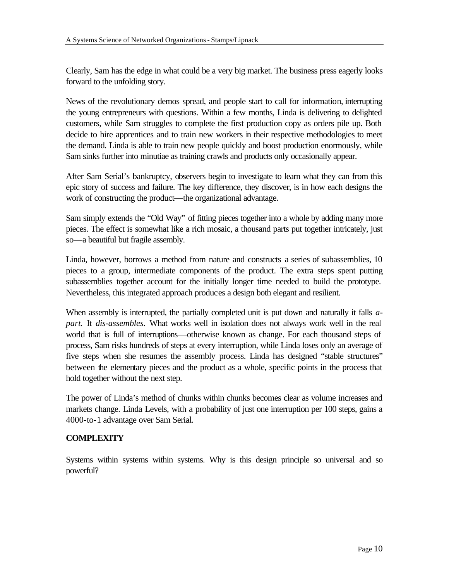Clearly, Sam has the edge in what could be a very big market. The business press eagerly looks forward to the unfolding story.

News of the revolutionary demos spread, and people start to call for information, interrupting the young entrepreneurs with questions. Within a few months, Linda is delivering to delighted customers, while Sam struggles to complete the first production copy as orders pile up. Both decide to hire apprentices and to train new workers in their respective methodologies to meet the demand. Linda is able to train new people quickly and boost production enormously, while Sam sinks further into minutiae as training crawls and products only occasionally appear.

After Sam Serial's bankruptcy, observers begin to investigate to learn what they can from this epic story of success and failure. The key difference, they discover, is in how each designs the work of constructing the product—the organizational advantage.

Sam simply extends the "Old Way" of fitting pieces together into a whole by adding many more pieces. The effect is somewhat like a rich mosaic, a thousand parts put together intricately, just so—a beautiful but fragile assembly.

Linda, however, borrows a method from nature and constructs a series of subassemblies, 10 pieces to a group, intermediate components of the product. The extra steps spent putting subassemblies together account for the initially longer time needed to build the prototype. Nevertheless, this integrated approach produces a design both elegant and resilient.

When assembly is interrupted, the partially completed unit is put down and naturally it falls *apart.* It *dis-assembles.* What works well in isolation does not always work well in the real world that is full of interruptions—otherwise known as change. For each thousand steps of process, Sam risks hundreds of steps at every interruption, while Linda loses only an average of five steps when she resumes the assembly process. Linda has designed "stable structures" between the elementary pieces and the product as a whole, specific points in the process that hold together without the next step.

The power of Linda's method of chunks within chunks becomes clear as volume increases and markets change. Linda Levels, with a probability of just one interruption per 100 steps, gains a 4000-to-1 advantage over Sam Serial.

### **COMPLEXITY**

Systems within systems within systems. Why is this design principle so universal and so powerful?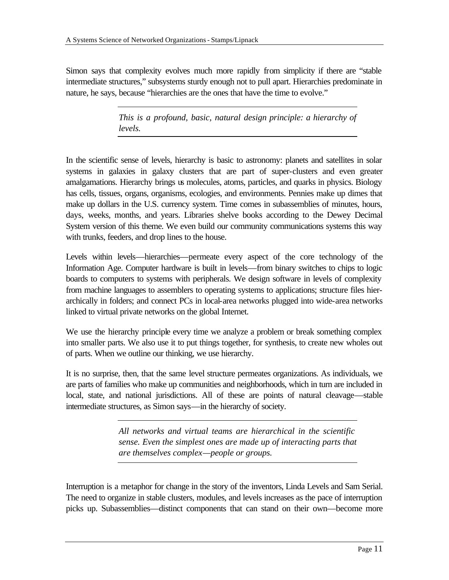Simon says that complexity evolves much more rapidly from simplicity if there are "stable intermediate structures," subsystems sturdy enough not to pull apart. Hierarchies predominate in nature, he says, because "hierarchies are the ones that have the time to evolve."

> *This is a profound, basic, natural design principle: a hierarchy of levels.*

In the scientific sense of levels, hierarchy is basic to astronomy: planets and satellites in solar systems in galaxies in galaxy clusters that are part of super-clusters and even greater amalgamations. Hierarchy brings us molecules, atoms, particles, and quarks in physics. Biology has cells, tissues, organs, organisms, ecologies, and environments. Pennies make up dimes that make up dollars in the U.S. currency system. Time comes in subassemblies of minutes, hours, days, weeks, months, and years. Libraries shelve books according to the Dewey Decimal System version of this theme. We even build our community communications systems this way with trunks, feeders, and drop lines to the house.

Levels within levels—hierarchies—permeate every aspect of the core technology of the Information Age. Computer hardware is built in levels—from binary switches to chips to logic boards to computers to systems with peripherals. We design software in levels of complexity from machine languages to assemblers to operating systems to applications; structure files hierarchically in folders; and connect PCs in local-area networks plugged into wide-area networks linked to virtual private networks on the global Internet.

We use the hierarchy principle every time we analyze a problem or break something complex into smaller parts. We also use it to put things together, for synthesis, to create new wholes out of parts. When we outline our thinking, we use hierarchy.

It is no surprise, then, that the same level structure permeates organizations. As individuals, we are parts of families who make up communities and neighborhoods, which in turn are included in local, state, and national jurisdictions. All of these are points of natural cleavage—stable intermediate structures, as Simon says—in the hierarchy of society.

> *All networks and virtual teams are hierarchical in the scientific sense. Even the simplest ones are made up of interacting parts that are themselves complex—people or groups.*

Interruption is a metaphor for change in the story of the inventors, Linda Levels and Sam Serial. The need to organize in stable clusters, modules, and levels increases as the pace of interruption picks up. Subassemblies—distinct components that can stand on their own—become more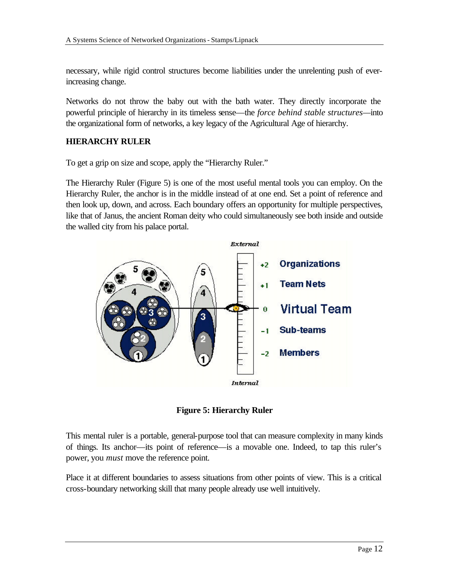necessary, while rigid control structures become liabilities under the unrelenting push of everincreasing change.

Networks do not throw the baby out with the bath water. They directly incorporate the powerful principle of hierarchy in its timeless sense—the *force behind stable structures—*into the organizational form of networks, a key legacy of the Agricultural Age of hierarchy.

### **HIERARCHY RULER**

To get a grip on size and scope, apply the "Hierarchy Ruler."

The Hierarchy Ruler (Figure 5) is one of the most useful mental tools you can employ. On the Hierarchy Ruler, the anchor is in the middle instead of at one end. Set a point of reference and then look up, down, and across. Each boundary offers an opportunity for multiple perspectives, like that of Janus, the ancient Roman deity who could simultaneously see both inside and outside the walled city from his palace portal.



**Figure 5: Hierarchy Ruler**

This mental ruler is a portable, general-purpose tool that can measure complexity in many kinds of things. Its anchor—its point of reference—is a movable one. Indeed, to tap this ruler's power, you *must* move the reference point.

Place it at different boundaries to assess situations from other points of view. This is a critical cross-boundary networking skill that many people already use well intuitively.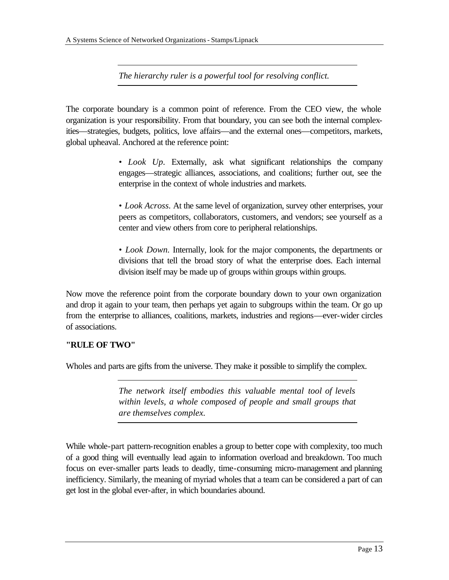*The hierarchy ruler is a powerful tool for resolving conflict.*

The corporate boundary is a common point of reference. From the CEO view, the whole organization is your responsibility. From that boundary, you can see both the internal complexities—strategies, budgets, politics, love affairs—and the external ones—competitors, markets, global upheaval. Anchored at the reference point:

> *• Look Up.* Externally, ask what significant relationships the company engages—strategic alliances, associations, and coalitions; further out, see the enterprise in the context of whole industries and markets.

> *• Look Across.* At the same level of organization, survey other enterprises, your peers as competitors, collaborators, customers, and vendors; see yourself as a center and view others from core to peripheral relationships.

> *• Look Down.* Internally, look for the major components, the departments or divisions that tell the broad story of what the enterprise does. Each internal division itself may be made up of groups within groups within groups.

Now move the reference point from the corporate boundary down to your own organization and drop it again to your team, then perhaps yet again to subgroups within the team. Or go up from the enterprise to alliances, coalitions, markets, industries and regions—ever-wider circles of associations.

### **"RULE OF TWO"**

Wholes and parts are gifts from the universe. They make it possible to simplify the complex.

*The network itself embodies this valuable mental tool of levels within levels, a whole composed of people and small groups that are themselves complex.*

While whole-part pattern-recognition enables a group to better cope with complexity, too much of a good thing will eventually lead again to information overload and breakdown. Too much focus on ever-smaller parts leads to deadly, time-consuming micro-management and planning inefficiency. Similarly, the meaning of myriad wholes that a team can be considered a part of can get lost in the global ever-after, in which boundaries abound.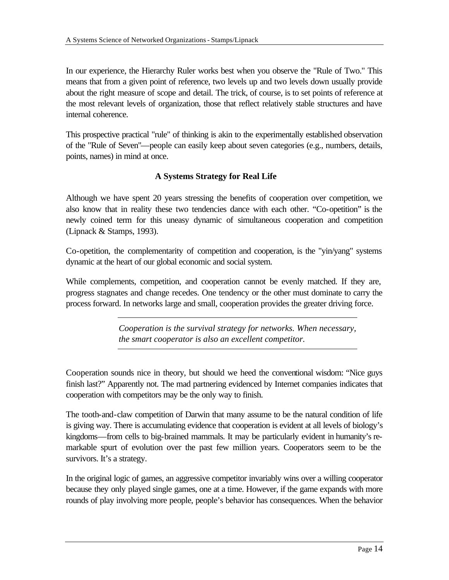In our experience, the Hierarchy Ruler works best when you observe the "Rule of Two." This means that from a given point of reference, two levels up and two levels down usually provide about the right measure of scope and detail. The trick, of course, is to set points of reference at the most relevant levels of organization, those that reflect relatively stable structures and have internal coherence.

This prospective practical "rule" of thinking is akin to the experimentally established observation of the "Rule of Seven"—people can easily keep about seven categories (e.g., numbers, details, points, names) in mind at once.

# **A Systems Strategy for Real Life**

Although we have spent 20 years stressing the benefits of cooperation over competition, we also know that in reality these two tendencies dance with each other. "Co-opetition" is the newly coined term for this uneasy dynamic of simultaneous cooperation and competition (Lipnack & Stamps, 1993).

Co-opetition, the complementarity of competition and cooperation, is the "yin/yang" systems dynamic at the heart of our global economic and social system.

While complements, competition, and cooperation cannot be evenly matched. If they are, progress stagnates and change recedes. One tendency or the other must dominate to carry the process forward. In networks large and small, cooperation provides the greater driving force.

> *Cooperation is the survival strategy for networks. When necessary, the smart cooperator is also an excellent competitor.*

Cooperation sounds nice in theory, but should we heed the conventional wisdom: "Nice guys finish last?" Apparently not. The mad partnering evidenced by Internet companies indicates that cooperation with competitors may be the only way to finish.

The tooth-and-claw competition of Darwin that many assume to be the natural condition of life is giving way. There is accumulating evidence that cooperation is evident at all levels of biology's kingdoms—from cells to big-brained mammals. It may be particularly evident in humanity's remarkable spurt of evolution over the past few million years. Cooperators seem to be the survivors. It's a strategy.

In the original logic of games, an aggressive competitor invariably wins over a willing cooperator because they only played single games, one at a time. However, if the game expands with more rounds of play involving more people, people's behavior has consequences. When the behavior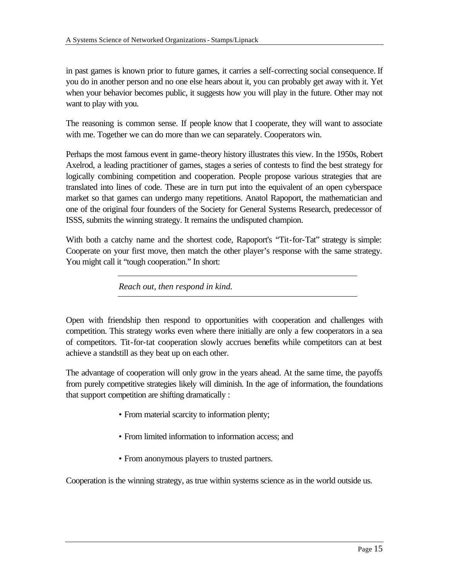in past games is known prior to future games, it carries a self-correcting social consequence. If you do in another person and no one else hears about it, you can probably get away with it. Yet when your behavior becomes public, it suggests how you will play in the future. Other may not want to play with you.

The reasoning is common sense. If people know that I cooperate, they will want to associate with me. Together we can do more than we can separately. Cooperators win.

Perhaps the most famous event in game-theory history illustrates this view. In the 1950s, Robert Axelrod, a leading practitioner of games, stages a series of contests to find the best strategy for logically combining competition and cooperation. People propose various strategies that are translated into lines of code. These are in turn put into the equivalent of an open cyberspace market so that games can undergo many repetitions. Anatol Rapoport, the mathematician and one of the original four founders of the Society for General Systems Research, predecessor of ISSS, submits the winning strategy. It remains the undisputed champion.

With both a catchy name and the shortest code, Rapoport's "Tit-for-Tat" strategy is simple: Cooperate on your first move, then match the other player's response with the same strategy. You might call it "tough cooperation." In short:

*Reach out, then respond in kind.*

Open with friendship then respond to opportunities with cooperation and challenges with competition. This strategy works even where there initially are only a few cooperators in a sea of competitors. Tit-for-tat cooperation slowly accrues benefits while competitors can at best achieve a standstill as they beat up on each other.

The advantage of cooperation will only grow in the years ahead. At the same time, the payoffs from purely competitive strategies likely will diminish. In the age of information, the foundations that support competition are shifting dramatically :

- From material scarcity to information plenty;
- From limited information to information access; and
- From anonymous players to trusted partners.

Cooperation is the winning strategy, as true within systems science as in the world outside us.